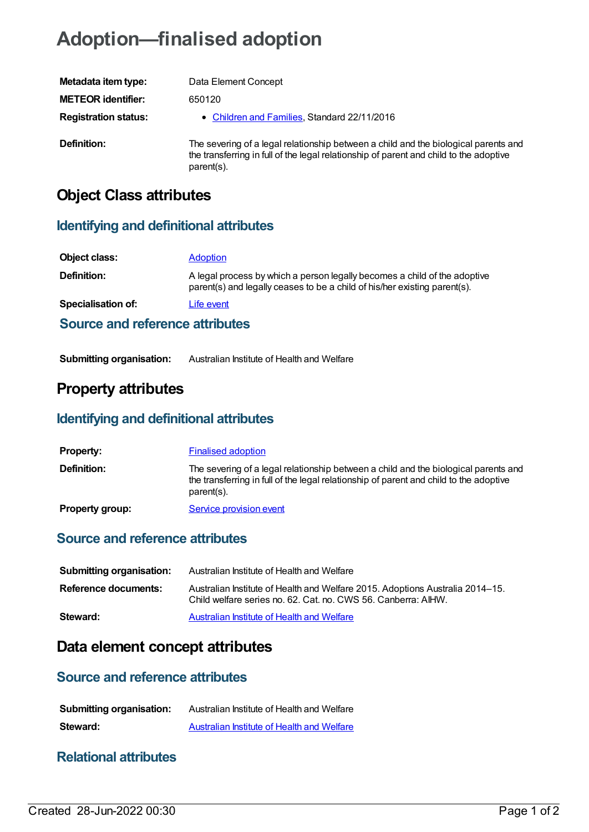# **Adoption—finalised adoption**

| Metadata item type:         | Data Element Concept                                                                                                                                                                        |
|-----------------------------|---------------------------------------------------------------------------------------------------------------------------------------------------------------------------------------------|
| <b>METEOR identifier:</b>   | 650120                                                                                                                                                                                      |
| <b>Registration status:</b> | • Children and Families, Standard 22/11/2016                                                                                                                                                |
| Definition:                 | The severing of a legal relationship between a child and the biological parents and<br>the transferring in full of the legal relationship of parent and child to the adoptive<br>parent(s). |

## **Object Class attributes**

#### **Identifying and definitional attributes**

| Object class:                   | <b>Adoption</b>                                                                                                                                        |
|---------------------------------|--------------------------------------------------------------------------------------------------------------------------------------------------------|
| Definition:                     | A legal process by which a person legally becomes a child of the adoptive<br>parent(s) and legally ceases to be a child of his/her existing parent(s). |
| <b>Specialisation of:</b>       | Life event                                                                                                                                             |
| Source and reference attributes |                                                                                                                                                        |

#### **Submitting organisation:** Australian Institute of Health and Welfare

## **Property attributes**

#### **Identifying and definitional attributes**

| <b>Property:</b>       | <b>Finalised adoption</b>                                                                                                                                                                   |
|------------------------|---------------------------------------------------------------------------------------------------------------------------------------------------------------------------------------------|
| <b>Definition:</b>     | The severing of a legal relationship between a child and the biological parents and<br>the transferring in full of the legal relationship of parent and child to the adoptive<br>parent(s). |
| <b>Property group:</b> | Service provision event                                                                                                                                                                     |

#### **Source and reference attributes**

| Submitting organisation: | Australian Institute of Health and Welfare                                                                                                     |
|--------------------------|------------------------------------------------------------------------------------------------------------------------------------------------|
| Reference documents:     | Australian Institute of Health and Welfare 2015. Adoptions Australia 2014–15.<br>Child welfare series no. 62, Cat. no. CWS 56, Canberra: AIHW. |
| Steward:                 | Australian Institute of Health and Welfare                                                                                                     |

## **Data element concept attributes**

### **Source and reference attributes**

| <b>Submitting organisation:</b> | Australian Institute of Health and Welfare |
|---------------------------------|--------------------------------------------|
| Steward:                        | Australian Institute of Health and Welfare |

#### **Relational attributes**